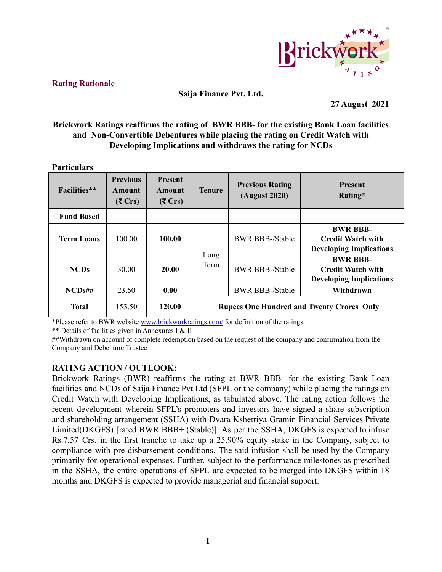

# **Rating Rationale**

### **Saija Finance Pvt. Ltd.**

**27 August 2021**

# **Brickwork Ratings reaffirms the rating of BWR BBB- for the existing Bank Loan facilities and Non-Convertible Debentures while placing the rating on Credit Watch with Developing Implications and withdraws the rating for NCDs**

#### **Particulars**

| <b>Facilities</b> ** | <b>Previous</b><br>Amount<br>$(5 \text{ Crs})$ | <b>Present</b><br>Amount<br>$(5 \text{ Crs})$ | <b>Tenure</b>                                    | <b>Previous Rating</b><br><b>(August 2020)</b> | <b>Present</b><br>Rating*                                                     |  |  |
|----------------------|------------------------------------------------|-----------------------------------------------|--------------------------------------------------|------------------------------------------------|-------------------------------------------------------------------------------|--|--|
| <b>Fund Based</b>    |                                                |                                               |                                                  |                                                |                                                                               |  |  |
| <b>Term Loans</b>    | 100.00                                         | 100.00                                        |                                                  | <b>BWR BBB-/Stable</b>                         | <b>BWR BBB-</b><br><b>Credit Watch with</b><br><b>Developing Implications</b> |  |  |
| <b>NCDs</b>          | 30.00                                          | 20.00                                         | Long<br>Term                                     | <b>BWR BBB-/Stable</b>                         | <b>BWR BBB-</b><br><b>Credit Watch with</b><br><b>Developing Implications</b> |  |  |
| NCDs#H               | 23.50                                          | 0.00                                          |                                                  | <b>BWR BBB-/Stable</b>                         | Withdrawn                                                                     |  |  |
| <b>Total</b>         | 153.50                                         | 120.00                                        | <b>Rupees One Hundred and Twenty Crores Only</b> |                                                |                                                                               |  |  |

\*Please refer to BWR website [www.brickworkratings.com/](http://www.brickworkratings.com/) for definition of the ratings.

\*\* Details of facilities given in Annexures I & II

##Withdrawn on account of complete redemption based on the request of the company and confirmation from the Company and Debenture Trustee

# **RATING ACTION / OUTLOOK:**

Brickwork Ratings (BWR) reaffirms the rating at BWR BBB- for the existing Bank Loan facilities and NCDs of Saija Finance Pvt Ltd (SFPL or the company) while placing the ratings on Credit Watch with Developing Implications, as tabulated above. The rating action follows the recent development wherein SFPL's promoters and investors have signed a share subscription and shareholding arrangement (SSHA) with Dvara Kshetriya Gramin Financial Services Private Limited(DKGFS) [rated BWR BBB+ (Stable)]. As per the SSHA, DKGFS is expected to infuse Rs.7.57 Crs. in the first tranche to take up a 25.90% equity stake in the Company, subject to compliance with pre-disbursement conditions. The said infusion shall be used by the Company primarily for operational expenses. Further, subject to the performance milestones as prescribed in the SSHA, the entire operations of SFPL are expected to be merged into DKGFS within 18 months and DKGFS is expected to provide managerial and financial support.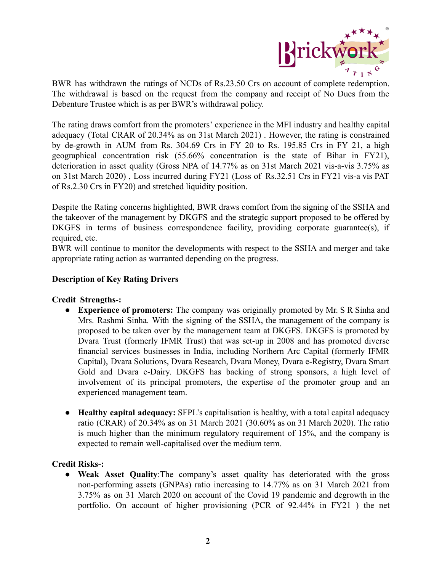

BWR has withdrawn the ratings of NCDs of Rs.23.50 Crs on account of complete redemption. The withdrawal is based on the request from the company and receipt of No Dues from the Debenture Trustee which is as per BWR's withdrawal policy.

The rating draws comfort from the promoters' experience in the MFI industry and healthy capital adequacy (Total CRAR of 20.34% as on 31st March 2021) . However, the rating is constrained by de-growth in AUM from Rs. 304.69 Crs in FY 20 to Rs. 195.85 Crs in FY 21, a high geographical concentration risk (55.66% concentration is the state of Bihar in FY21), deterioration in asset quality (Gross NPA of 14.77% as on 31st March 2021 vis-a-vis 3.75% as on 31st March 2020) , Loss incurred during FY21 (Loss of Rs.32.51 Crs in FY21 vis-a vis PAT of Rs.2.30 Crs in FY20) and stretched liquidity position.

Despite the Rating concerns highlighted, BWR draws comfort from the signing of the SSHA and the takeover of the management by DKGFS and the strategic support proposed to be offered by DKGFS in terms of business correspondence facility, providing corporate guarantee(s), if required, etc.

BWR will continue to monitor the developments with respect to the SSHA and merger and take appropriate rating action as warranted depending on the progress.

### **Description of Key Rating Drivers**

### **Credit Strengths-:**

- **Experience of promoters:** The company was originally promoted by Mr. S R Sinha and Mrs. Rashmi Sinha. With the signing of the SSHA, the management of the company is proposed to be taken over by the management team at DKGFS. DKGFS is promoted by Dvara Trust (formerly IFMR Trust) that was set-up in 2008 and has promoted diverse financial services businesses in India, including Northern Arc Capital (formerly IFMR Capital), Dvara Solutions, Dvara Research, Dvara Money, Dvara e-Registry, Dvara Smart Gold and Dvara e-Dairy. DKGFS has backing of strong sponsors, a high level of involvement of its principal promoters, the expertise of the promoter group and an experienced management team.
- **Healthy capital adequacy:** SFPL's capitalisation is healthy, with a total capital adequacy ratio (CRAR) of 20.34% as on 31 March 2021 (30.60% as on 31 March 2020). The ratio is much higher than the minimum regulatory requirement of 15%, and the company is expected to remain well-capitalised over the medium term.

### **Credit Risks-:**

● **Weak Asset Quality**:The company's asset quality has deteriorated with the gross non-performing assets (GNPAs) ratio increasing to 14.77% as on 31 March 2021 from 3.75% as on 31 March 2020 on account of the Covid 19 pandemic and degrowth in the portfolio. On account of higher provisioning (PCR of 92.44% in FY21 ) the net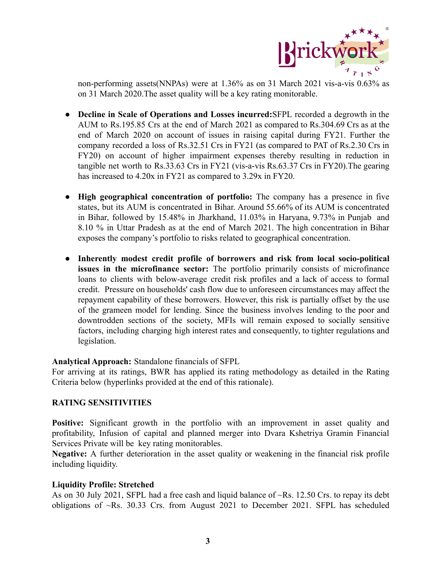

non-performing assets(NNPAs) were at 1.36% as on 31 March 2021 vis-a-vis 0.63% as on 31 March 2020.The asset quality will be a key rating monitorable.

- **Decline in Scale of Operations and Losses incurred:**SFPL recorded a degrowth in the AUM to Rs.195.85 Crs at the end of March 2021 as compared to Rs.304.69 Crs as at the end of March 2020 on account of issues in raising capital during FY21. Further the company recorded a loss of Rs.32.51 Crs in FY21 (as compared to PAT of Rs.2.30 Crs in FY20) on account of higher impairment expenses thereby resulting in reduction in tangible net worth to Rs.33.63 Crs in FY21 (vis-a-vis Rs.63.37 Crs in FY20).The gearing has increased to 4.20x in FY21 as compared to 3.29x in FY20.
- **High geographical concentration of portfolio:** The company has a presence in five states, but its AUM is concentrated in Bihar. Around 55.66% of its AUM is concentrated in Bihar, followed by 15.48% in Jharkhand, 11.03% in Haryana, 9.73% in Punjab and 8.10 % in Uttar Pradesh as at the end of March 2021. The high concentration in Bihar exposes the company's portfolio to risks related to geographical concentration.
- **Inherently modest credit profile of borrowers and risk from local socio-political issues in the microfinance sector:** The portfolio primarily consists of microfinance loans to clients with below-average credit risk profiles and a lack of access to formal credit. Pressure on households' cash flow due to unforeseen circumstances may affect the repayment capability of these borrowers. However, this risk is partially offset by the use of the grameen model for lending. Since the business involves lending to the poor and downtrodden sections of the society, MFIs will remain exposed to socially sensitive factors, including charging high interest rates and consequently, to tighter regulations and legislation.

### **Analytical Approach:** Standalone financials of SFPL

For arriving at its ratings, BWR has applied its rating methodology as detailed in the Rating Criteria below (hyperlinks provided at the end of this rationale).

### **RATING SENSITIVITIES**

**Positive:** Significant growth in the portfolio with an improvement in asset quality and profitability, Infusion of capital and planned merger into Dvara Kshetriya Gramin Financial Services Private will be key rating monitorables.

**Negative:** A further deterioration in the asset quality or weakening in the financial risk profile including liquidity.

### **Liquidity Profile: Stretched**

As on 30 July 2021, SFPL had a free cash and liquid balance of ~Rs. 12.50 Crs. to repay its debt obligations of ~Rs. 30.33 Crs. from August 2021 to December 2021. SFPL has scheduled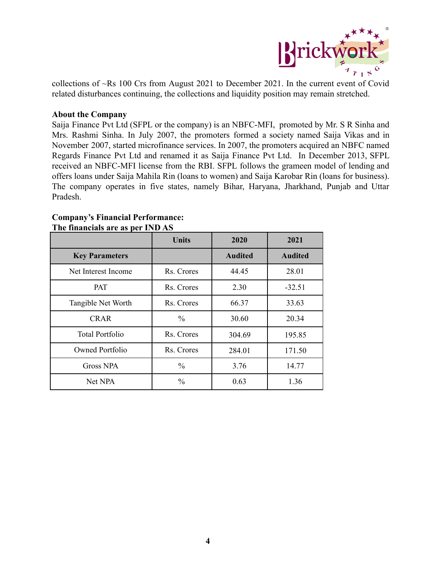

collections of ~Rs 100 Crs from August 2021 to December 2021. In the current event of Covid related disturbances continuing, the collections and liquidity position may remain stretched.

#### **About the Company**

Saija Finance Pvt Ltd (SFPL or the company) is an NBFC-MFI, promoted by Mr. S R Sinha and Mrs. Rashmi Sinha. In July 2007, the promoters formed a society named Saija Vikas and in November 2007, started microfinance services. In 2007, the promoters acquired an NBFC named Regards Finance Pvt Ltd and renamed it as Saija Finance Pvt Ltd. In December 2013, SFPL received an NBFC-MFI license from the RBI. SFPL follows the grameen model of lending and offers loans under Saija Mahila Rin (loans to women) and Saija Karobar Rin (loans for business). The company operates in five states, namely Bihar, Haryana, Jharkhand, Punjab and Uttar Pradesh.

|                        | <b>Units</b>  | 2020           | 2021           |  |
|------------------------|---------------|----------------|----------------|--|
| <b>Key Parameters</b>  |               | <b>Audited</b> | <b>Audited</b> |  |
| Net Interest Income    | Rs. Crores    | 44.45          | 28.01          |  |
| <b>PAT</b>             | Rs. Crores    | 2.30           | $-32.51$       |  |
| Tangible Net Worth     | Rs. Crores    | 66.37          | 33.63          |  |
| <b>CRAR</b>            | $\frac{0}{0}$ | 30.60          | 20.34          |  |
| <b>Total Portfolio</b> | Rs. Crores    | 304.69         | 195.85         |  |
| Owned Portfolio        | Rs. Crores    | 284.01         | 171.50         |  |
| <b>Gross NPA</b>       | $\frac{0}{0}$ | 3.76           | 14.77          |  |
| Net NPA                | $\frac{0}{0}$ | 0.63           | 1.36           |  |

#### **Company's Financial Performance: The financials are as per IND AS**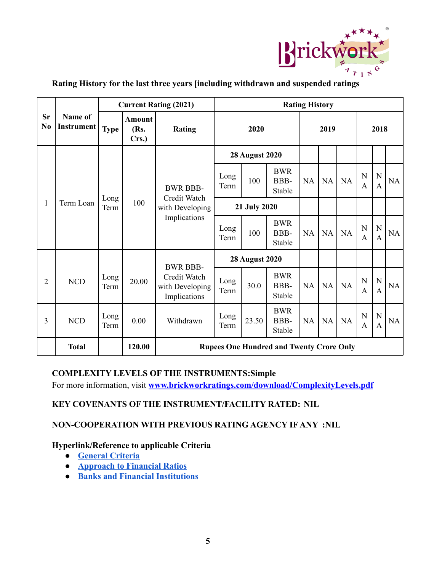

|                             |                       | <b>Current Rating (2021)</b> |                                |                                                                    | <b>Rating History</b> |                       |                              |           |           |           |                   |                               |    |
|-----------------------------|-----------------------|------------------------------|--------------------------------|--------------------------------------------------------------------|-----------------------|-----------------------|------------------------------|-----------|-----------|-----------|-------------------|-------------------------------|----|
| <b>Sr</b><br>N <sub>0</sub> | Name of<br>Instrument | <b>Type</b>                  | <b>Amount</b><br>(Rs.<br>Crs.) | <b>Rating</b>                                                      | 2020                  |                       |                              | 2019      |           |           | 2018              |                               |    |
|                             |                       |                              |                                |                                                                    |                       | <b>28 August 2020</b> |                              |           |           |           |                   |                               |    |
| $\mathbf{1}$                |                       | Long<br>Term                 | 100                            | <b>BWR BBB-</b><br>Credit Watch<br>with Developing<br>Implications | Long<br>Term          | 100                   | <b>BWR</b><br>BBB-<br>Stable | NA        | <b>NA</b> | <b>NA</b> | N<br>$\mathsf{A}$ | ${\bf N}$<br>$\mathbf{A}$     | NA |
|                             | Term Loan             |                              |                                |                                                                    | 21 July 2020          |                       |                              |           |           |           |                   |                               |    |
|                             |                       |                              |                                |                                                                    | Long<br>Term          | 100                   | <b>BWR</b><br>BBB-<br>Stable | <b>NA</b> | <b>NA</b> | NA        | N<br>A            | ${\bf N}$<br>$\mathbf{A}$     | NA |
|                             |                       |                              |                                |                                                                    |                       | <b>28 August 2020</b> |                              |           |           |           |                   |                               |    |
| $\overline{2}$              | <b>NCD</b>            | Long<br>Term                 | 20.00                          | <b>BWR BBB-</b><br>Credit Watch<br>with Developing<br>Implications | Long<br>Term          | 30.0                  | <b>BWR</b><br>BBB-<br>Stable | NA        | NA        | NA        | N<br>A            | $\mathbf N$<br>$\overline{A}$ | NA |
| $\overline{3}$              | <b>NCD</b>            | Long<br>Term                 | 0.00                           | Withdrawn                                                          | Long<br>Term          | 23.50                 | <b>BWR</b><br>BBB-<br>Stable | <b>NA</b> | NA        | <b>NA</b> | N<br>$\mathbf{A}$ | ${\bf N}$<br>$\mathbf{A}$     | NA |
|                             | <b>Total</b>          |                              | 120.00                         | <b>Rupees One Hundred and Twenty Crore Only</b>                    |                       |                       |                              |           |           |           |                   |                               |    |

# **Rating History for the last three years [including withdrawn and suspended ratings**

## **COMPLEXITY LEVELS OF THE INSTRUMENTS:Simple**

For more information, visit **[www.brickworkratings.com/download/ComplexityLevels.pdf](http://www.brickworkratings.com/download/ComplexityLevels.pdf)**

### **KEY COVENANTS OF THE INSTRUMENT/FACILITY RATED: NIL**

### **NON-COOPERATION WITH PREVIOUS RATING AGENCY IF ANY :NIL**

### **Hyperlink/Reference to applicable Criteria**

- **● [General Criteria](http://www.brickworkratings.com/download/Criteria-GeneralCriteria.pdf)**
- **● [Approach to Financial Ratios](http://www.brickworkratings.com/download/Criteria-FinancialRatios.pdf)**
- **● [Banks and Financial Institutions](https://www.brickworkratings.com/download/Criteria-BanksFinancialInstitutions.pdf)**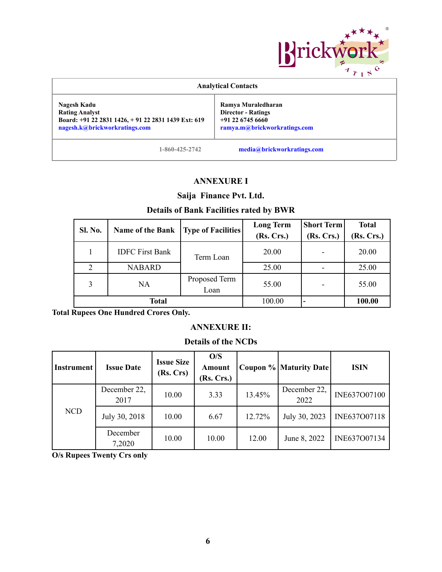

| <b>Analytical Contacts</b>                                                                                                  |                                                                                                       |  |  |  |  |  |  |
|-----------------------------------------------------------------------------------------------------------------------------|-------------------------------------------------------------------------------------------------------|--|--|--|--|--|--|
| Nagesh Kadu<br><b>Rating Analyst</b><br>Board: +91 22 2831 1426, +91 22 2831 1439 Ext: 619<br>nagesh.k@brickworkratings.com | Ramya Muraledharan<br><b>Director - Ratings</b><br>$+91$ 22 6745 6660<br>ramya.m@brickworkratings.com |  |  |  |  |  |  |
| 1-860-425-2742                                                                                                              | media@brickworkratings.com                                                                            |  |  |  |  |  |  |

### **ANNEXURE I**

# **Saija Finance Pvt. Ltd.**

# **Details of Bank Facilities rated by BWR**

| <b>Sl. No.</b> | <b>Name of the Bank</b> | <b>Type of Facilities</b> | <b>Long Term</b><br>(Rs. Crs.) | <b>Short Term</b><br>(Rs. Crs.) | <b>Total</b><br>(Rs. Crs.) |
|----------------|-------------------------|---------------------------|--------------------------------|---------------------------------|----------------------------|
| 1              | <b>IDFC First Bank</b>  | Term Loan                 | 20.00                          |                                 | 20.00                      |
| 2              | <b>NABARD</b>           |                           | 25.00                          |                                 | 25.00                      |
|                | NA                      | Proposed Term<br>Loan     | 55.00                          |                                 | 55.00                      |
|                | Total                   |                           | 100.00                         |                                 | 100.00                     |

**Total Rupees One Hundred Crores Only.**

### **ANNEXURE II:**

### **Details of the NCDs**

| <b>Instrument</b> | <b>Issue Date</b>    | <b>Issue Size</b><br>(Rs. Crs) | O/S<br>Amount<br>(Rs. Crs.) |        | <b>Coupon % Maturity Date</b> | <b>ISIN</b>  |
|-------------------|----------------------|--------------------------------|-----------------------------|--------|-------------------------------|--------------|
| <b>NCD</b>        | December 22,<br>2017 | 10.00                          | 3.33                        | 13.45% | December 22,<br>2022          | INE637O07100 |
|                   | July 30, 2018        | 10.00                          | 6.67                        | 12.72% | July 30, 2023                 | INE637O07118 |
|                   | December<br>7,2020   | 10.00                          | 10.00                       | 12.00  | June 8, 2022                  | INE637007134 |

**O/s Rupees Twenty Crs only**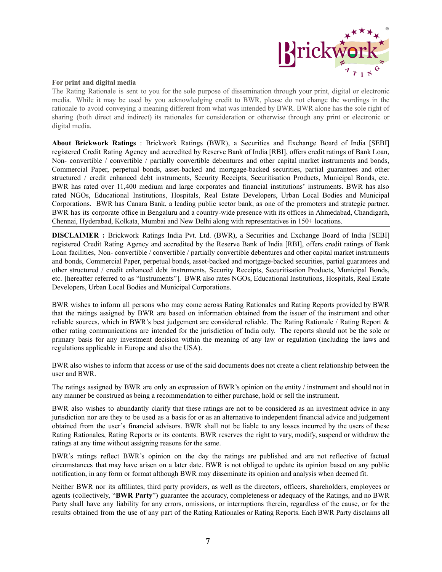

#### **For print and digital media**

The Rating Rationale is sent to you for the sole purpose of dissemination through your print, digital or electronic media. While it may be used by you acknowledging credit to BWR, please do not change the wordings in the rationale to avoid conveying a meaning different from what was intended by BWR. BWR alone has the sole right of sharing (both direct and indirect) its rationales for consideration or otherwise through any print or electronic or digital media.

**About Brickwork Ratings** : Brickwork Ratings (BWR), a Securities and Exchange Board of India [SEBI] registered Credit Rating Agency and accredited by Reserve Bank of India [RBI], offers credit ratings of Bank Loan, Non- convertible / convertible / partially convertible debentures and other capital market instruments and bonds, Commercial Paper, perpetual bonds, asset-backed and mortgage-backed securities, partial guarantees and other structured / credit enhanced debt instruments, Security Receipts, Securitisation Products, Municipal Bonds, etc. BWR has rated over 11,400 medium and large corporates and financial institutions' instruments. BWR has also rated NGOs, Educational Institutions, Hospitals, Real Estate Developers, Urban Local Bodies and Municipal Corporations. BWR has Canara Bank, a leading public sector bank, as one of the promoters and strategic partner. BWR has its corporate office in Bengaluru and a country-wide presence with its offices in Ahmedabad, Chandigarh, Chennai, Hyderabad, Kolkata, Mumbai and New Delhi along with representatives in 150+ locations.

**DISCLAIMER :** Brickwork Ratings India Pvt. Ltd. (BWR), a Securities and Exchange Board of India [SEBI] registered Credit Rating Agency and accredited by the Reserve Bank of India [RBI], offers credit ratings of Bank Loan facilities, Non- convertible / convertible / partially convertible debentures and other capital market instruments and bonds, Commercial Paper, perpetual bonds, asset-backed and mortgage-backed securities, partial guarantees and other structured / credit enhanced debt instruments, Security Receipts, Securitisation Products, Municipal Bonds, etc. [hereafter referred to as "Instruments"]. BWR also rates NGOs, Educational Institutions, Hospitals, Real Estate Developers, Urban Local Bodies and Municipal Corporations.

BWR wishes to inform all persons who may come across Rating Rationales and Rating Reports provided by BWR that the ratings assigned by BWR are based on information obtained from the issuer of the instrument and other reliable sources, which in BWR's best judgement are considered reliable. The Rating Rationale / Rating Report & other rating communications are intended for the jurisdiction of India only. The reports should not be the sole or primary basis for any investment decision within the meaning of any law or regulation (including the laws and regulations applicable in Europe and also the USA).

BWR also wishes to inform that access or use of the said documents does not create a client relationship between the user and BWR.

The ratings assigned by BWR are only an expression of BWR's opinion on the entity / instrument and should not in any manner be construed as being a recommendation to either purchase, hold or sell the instrument.

BWR also wishes to abundantly clarify that these ratings are not to be considered as an investment advice in any jurisdiction nor are they to be used as a basis for or as an alternative to independent financial advice and judgement obtained from the user's financial advisors. BWR shall not be liable to any losses incurred by the users of these Rating Rationales, Rating Reports or its contents. BWR reserves the right to vary, modify, suspend or withdraw the ratings at any time without assigning reasons for the same.

BWR's ratings reflect BWR's opinion on the day the ratings are published and are not reflective of factual circumstances that may have arisen on a later date. BWR is not obliged to update its opinion based on any public notification, in any form or format although BWR may disseminate its opinion and analysis when deemed fit.

Neither BWR nor its affiliates, third party providers, as well as the directors, officers, shareholders, employees or agents (collectively, "**BWR Party**") guarantee the accuracy, completeness or adequacy of the Ratings, and no BWR Party shall have any liability for any errors, omissions, or interruptions therein, regardless of the cause, or for the results obtained from the use of any part of the Rating Rationales or Rating Reports. Each BWR Party disclaims all